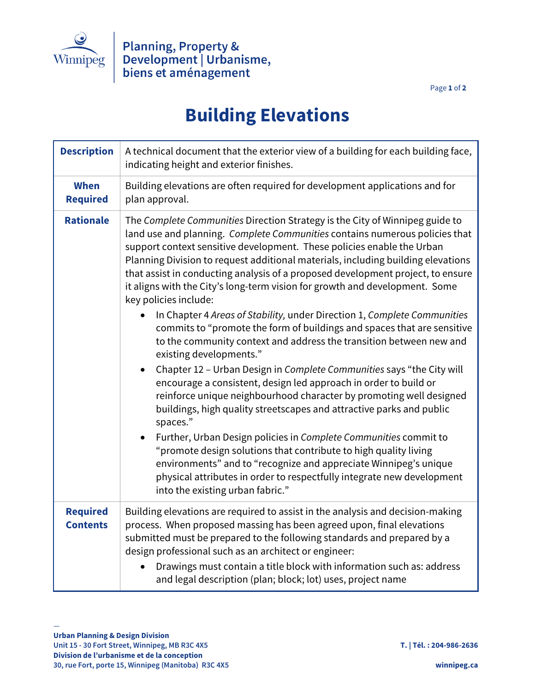

Page **1** of **2**

## **Building Elevations**

| <b>Description</b>                 | A technical document that the exterior view of a building for each building face,<br>indicating height and exterior finishes.                                                                                                                                                                                                                                                                                                                                                                                        |
|------------------------------------|----------------------------------------------------------------------------------------------------------------------------------------------------------------------------------------------------------------------------------------------------------------------------------------------------------------------------------------------------------------------------------------------------------------------------------------------------------------------------------------------------------------------|
| <b>When</b><br><b>Required</b>     | Building elevations are often required for development applications and for<br>plan approval.                                                                                                                                                                                                                                                                                                                                                                                                                        |
| <b>Rationale</b>                   | The Complete Communities Direction Strategy is the City of Winnipeg guide to<br>land use and planning. Complete Communities contains numerous policies that<br>support context sensitive development. These policies enable the Urban<br>Planning Division to request additional materials, including building elevations<br>that assist in conducting analysis of a proposed development project, to ensure<br>it aligns with the City's long-term vision for growth and development. Some<br>key policies include: |
|                                    | In Chapter 4 Areas of Stability, under Direction 1, Complete Communities<br>commits to "promote the form of buildings and spaces that are sensitive<br>to the community context and address the transition between new and<br>existing developments."                                                                                                                                                                                                                                                                |
|                                    | Chapter 12 - Urban Design in Complete Communities says "the City will<br>encourage a consistent, design led approach in order to build or<br>reinforce unique neighbourhood character by promoting well designed<br>buildings, high quality streetscapes and attractive parks and public<br>spaces."                                                                                                                                                                                                                 |
|                                    | Further, Urban Design policies in Complete Communities commit to<br>"promote design solutions that contribute to high quality living<br>environments" and to "recognize and appreciate Winnipeg's unique<br>physical attributes in order to respectfully integrate new development<br>into the existing urban fabric."                                                                                                                                                                                               |
| <b>Required</b><br><b>Contents</b> | Building elevations are required to assist in the analysis and decision-making<br>process. When proposed massing has been agreed upon, final elevations<br>submitted must be prepared to the following standards and prepared by a<br>design professional such as an architect or engineer:<br>Drawings must contain a title block with information such as: address<br>and legal description (plan; block; lot) uses, project name                                                                                  |

—